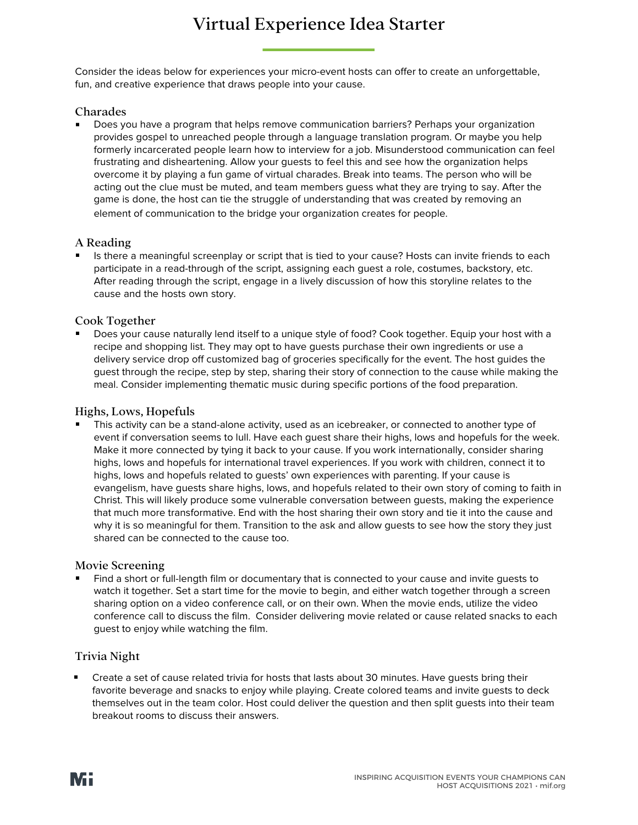# Virtual Experience Idea Starter

Consider the ideas below for experiences your micro-event hosts can offer to create an unforgettable, fun, and creative experience that draws people into your cause.

## Charades

Does you have a program that helps remove communication barriers? Perhaps your organization provides gospel to unreached people through a language translation program. Or maybe you help formerly incarcerated people learn how to interview for a job. Misunderstood communication can feel frustrating and disheartening. Allow your guests to feel this and see how the organization helps overcome it by playing a fun game of virtual charades. Break into teams. The person who will be acting out the clue must be muted, and team members guess what they are trying to say. After the game is done, the host can tie the struggle of understanding that was created by removing an element of communication to the bridge your organization creates for people.

## A Reading

Is there a meaningful screenplay or script that is tied to your cause? Hosts can invite friends to each participate in a read-through of the script, assigning each guest a role, costumes, backstory, etc. After reading through the script, engage in a lively discussion of how this storyline relates to the cause and the hosts own story.

## Cook Together

Does your cause naturally lend itself to a unique style of food? Cook together. Equip your host with a recipe and shopping list. They may opt to have guests purchase their own ingredients or use a delivery service drop off customized bag of groceries specifically for the event. The host guides the guest through the recipe, step by step, sharing their story of connection to the cause while making the meal. Consider implementing thematic music during specific portions of the food preparation.

#### Highs, Lows, Hopefuls

This activity can be a stand-alone activity, used as an icebreaker, or connected to another type of event if conversation seems to lull. Have each quest share their highs, lows and hopefuls for the week. Make it more connected by tying it back to your cause. If you work internationally, consider sharing highs, lows and hopefuls for international travel experiences. If you work with children, connect it to highs, lows and hopefuls related to guests' own experiences with parenting. If your cause is evangelism, have guests share highs, lows, and hopefuls related to their own story of coming to faith in Christ. This will likely produce some vulnerable conversation between guests, making the experience that much more transformative. End with the host sharing their own story and tie it into the cause and why it is so meaningful for them. Transition to the ask and allow guests to see how the story they just shared can be connected to the cause too.

## Movie Screening

Find a short or full-length film or documentary that is connected to your cause and invite guests to watch it together. Set a start time for the movie to begin, and either watch together through a screen sharing option on a video conference call, or on their own. When the movie ends, utilize the video conference call to discuss the film. Consider delivering movie related or cause related snacks to each guest to enjoy while watching the film.

## Trivia Night

Create a set of cause related trivia for hosts that lasts about 30 minutes. Have guests bring their favorite beverage and snacks to enjoy while playing. Create colored teams and invite guests to deck themselves out in the team color. Host could deliver the question and then split guests into their team breakout rooms to discuss their answers.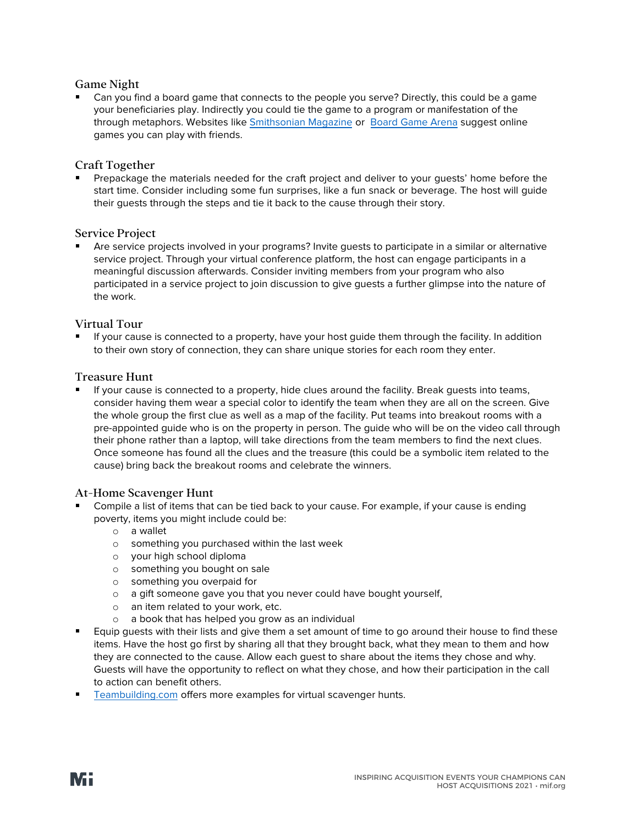## Game Night

Can you find a board game that connects to the people you serve? Directly, this could be a game your beneficiaries play. Indirectly you could tie the game to a program or manifestation of the through metaphors. Websites lik[e Smithsonian Magazine](https://www.smithsonianmag.com/innovation/twelve-board-games-you-can-play-friends-afar-180974686/) or [Board Game Arena](http://www.boardgamearena.com/) suggest online games you can play with friends.

## Craft Together

Prepackage the materials needed for the craft project and deliver to your guests' home before the start time. Consider including some fun surprises, like a fun snack or beverage. The host will guide their guests through the steps and tie it back to the cause through their story.

## Service Project

Are service projects involved in your programs? Invite guests to participate in a similar or alternative service project. Through your virtual conference platform, the host can engage participants in a meaningful discussion afterwards. Consider inviting members from your program who also participated in a service project to join discussion to give guests a further glimpse into the nature of the work.

## Virtual Tour

If your cause is connected to a property, have your host guide them through the facility. In addition to their own story of connection, they can share unique stories for each room they enter.

## Treasure Hunt

If your cause is connected to a property, hide clues around the facility. Break guests into teams, consider having them wear a special color to identify the team when they are all on the screen. Give the whole group the first clue as well as a map of the facility. Put teams into breakout rooms with a pre-appointed guide who is on the property in person. The guide who will be on the video call through their phone rather than a laptop, will take directions from the team members to find the next clues. Once someone has found all the clues and the treasure (this could be a symbolic item related to the cause) bring back the breakout rooms and celebrate the winners.

## At-Home Scavenger Hunt

- Compile a list of items that can be tied back to your cause. For example, if your cause is ending poverty, items you might include could be:
	- o a wallet
	- o something you purchased within the last week
	- o your high school diploma
	- o something you bought on sale
	- o something you overpaid for
	- o a gift someone gave you that you never could have bought yourself,
	- o an item related to your work, etc.
	- o a book that has helped you grow as an individual
- **Equip guests with their lists and give them a set amount of time to go around their house to find these** items. Have the host go first by sharing all that they brought back, what they mean to them and how they are connected to the cause. Allow each guest to share about the items they chose and why. Guests will have the opportunity to reflect on what they chose, and how their participation in the call to action can benefit others.
- [Teambuilding.com](https://teambuilding.com/blog/virtual-scavenger-hunt#adults) offers more examples for virtual scavenger hunts.